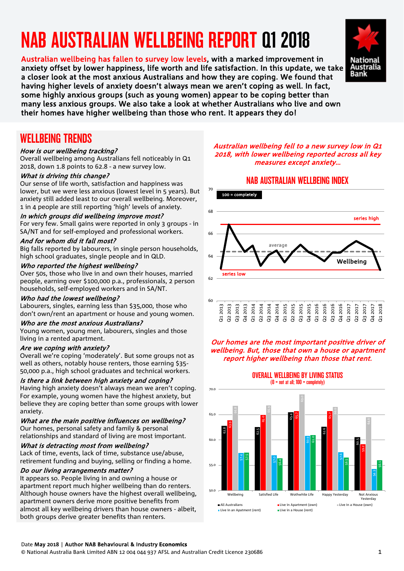# NAB AUSTRALIAN WELLBEING REPORT Q1 2018

Austratian wellbeing has fallen to survey low levels, with a marked improvement in<br>anxiety offset by lower happiness, life worth and life satisfaction. In this update, we take Australian wellbeing has fallen to survey low levels, with a marked improvement in a closer look at the most anxious Australians and how they are coping. We found that having higher levels of anxiety doesn't always mean we aren't coping as well. In fact, some highly anxious groups (such as young women) appear to be coping better than many less anxious groups. We also take a look at whether Australians who live and own their homes have higher wellbeing than those who rent. It appears they do!



### WELLBEING TRENDS

#### How is our wellbeing tracking?

Overall wellbeing among Australians fell noticeably in Q1 2018, down 1.8 points to 62.8 - a new survey low.

#### What is driving this change?

Our sense of life worth, satisfaction and happiness was lower, but we were less anxious (lowest level in 5 years). But anxiety still added least to our overall wellbeing. Moreover, 1 in 4 people are still reporting 'high' levels of anxiety.

#### In which groups did wellbeing improve most?

For very few. Small gains were reported in only 3 groups - in SA/NT and for self-employed and professional workers.

#### And for whom did it fall most?

Big falls reported by labourers, in single person households, high school graduates, single people and in QLD.

#### Who reported the highest wellbeing?

Over 50s, those who live in and own their houses, married people, earning over \$100,000 p.a., professionals, 2 person households, self-employed workers and in SA/NT.

#### Who had the lowest wellbeing?

Labourers, singles, earning less than \$35,000, those who don't own/rent an apartment or house and young women.

#### Who are the most anxious Australians?

Young women, young men, labourers, singles and those living in a rented apartment.

#### Are we coping with anxiety?

Overall we're coping 'moderately'. But some groups not as well as others, notably house renters, those earning \$35- 50,000 p.a., high school graduates and technical workers.

#### Is there a link between high anxiety and coping?

Having high anxiety doesn't always mean we aren't coping. For example, young women have the highest anxiety, but believe they are coping better than some groups with lower anxiety.

#### What are the main positive influences on wellbeing?

Our homes, personal safety and family & personal relationships and standard of living are most important.

#### What is detracting most from wellbeing?

Lack of time, events, lack of time, substance use/abuse, retirement funding and buying, selling or finding a home.

#### Do our living arrangements matter?

It appears so. People living in and owning a house or apartment report much higher wellbeing than do renters. Although house owners have the highest overall wellbeing, apartment owners derive more positive benefits from almost all key wellbeing drivers than house owners - albeit, both groups derive greater benefits than renters.

#### Australian wellbeing fell to a new survey low in Q1 2018, with lower wellbeing reported across all key measures except anxiety…

#### NAB AUSTRALIAN WELLBEING INDEX



#### Our homes are the most important positive driver of wellbeing. But, those that own a house or apartment report higher wellbeing than those that rent.

OVERALL WELLBEING BY LIVING STATUS



Date May **2018** | Author NAB Behavioural & Industry **Economics**

© National Australia Bank Limited ABN 12 004 044 937 AFSL and Australian Credit Licence 230686 1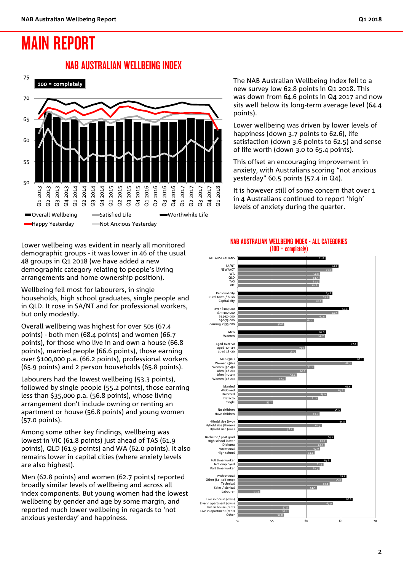## MAIN REPORT

### NAB AUSTRALIAN WELLBEING INDEX



Lower wellbeing was evident in nearly all monitored demographic groups - it was lower in 46 of the usual 48 groups in Q1 2018 (we have added a new demographic category relating to people's living arrangements and home ownership position).

Wellbeing fell most for labourers, in single households, high school graduates, single people and in QLD. It rose in SA/NT and for professional workers, but only modestly.

Overall wellbeing was highest for over 50s (67.4 points) - both men (68.4 points) and women (66.7 points), for those who live in and own a house (66.8 points), married people (66.6 points), those earning over \$100,000 p.a. (66.2 points), professional workers (65.9 points) and 2 person households (65.8 points).

Labourers had the lowest wellbeing (53.3 points), followed by single people (55.2 points), those earning less than \$35,000 p.a. (56.8 points), whose living arrangement don't include owning or renting an apartment or house (56.8 points) and young women (57.0 points).

Among some other key findings, wellbeing was lowest in VIC (61.8 points) just ahead of TAS (61.9 points), QLD (61.9 points) and WA (62.0 points). It also remains lower in capital cities (where anxiety levels are also highest).

Men (62.8 points) and women (62.7 points) reported broadly similar levels of wellbeing and across all index components. But young women had the lowest wellbeing by gender and age by some margin, and reported much lower wellbeing in regards to 'not anxious yesterday' and happiness.

The NAB Australian Wellbeing Index fell to a new survey low 62.8 points in Q1 2018. This was down from 64.6 points in Q4 2017 and now sits well below its long-term average level (64.4 points).

Lower wellbeing was driven by lower levels of happiness (down 3.7 points to 62.6), life satisfaction (down 3.6 points to 62.5) and sense of life worth (down 3.0 to 65.4 points).

This offset an encouraging improvement in anxiety, with Australians scoring "not anxious yesterday" 60.5 points (57.4 in Q4).

It is however still of some concern that over 1 in 4 Australians continued to report 'high' levels of anxiety during the quarter.



#### NAB AUSTRALIAN WELLBEING INDEX - ALL CATEGORIES (100 = completely)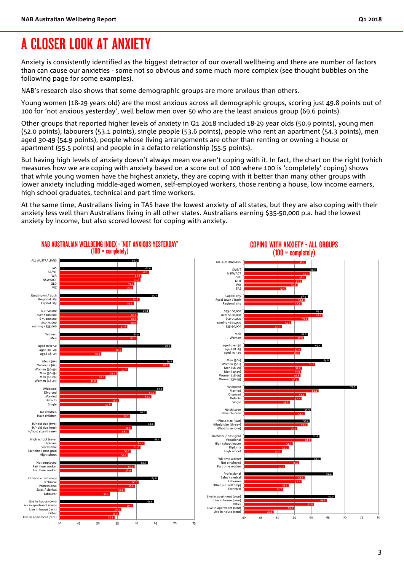## A CLOSER LOOK AT ANXIETY

Anxiety is consistently identified as the biggest detractor of our overall wellbeing and there are number of factors than can cause our anxieties - some not so obvious and some much more complex (see thought bubbles on the following page for some examples).

NAB's research also shows that some demographic groups are more anxious than others.

Young women (18-29 years old) are the most anxious across all demographic groups, scoring just 49.8 points out of 100 for 'not anxious yesterday', well below men over 50 who are the least anxious group (69.6 points).

Other groups that reported higher levels of anxiety in Q1 2018 included 18-29 year olds (50.9 points), young men (52.0 points), labourers (53.1 points), single people (53.6 points), people who rent an apartment (54.3 points), men aged 30-49 (54.9 points), people whose living arrangements are other than renting or owning a house or apartment (55.5 points) and people in a defacto relationship (55.5 points).

But having high levels of anxiety doesn't always mean we aren't coping with it. In fact, the chart on the right (which measures how we are coping with anxiety based on a score out of 100 where 100 is 'completely' coping) shows that while young women have the highest anxiety, they are coping with it better than many other groups with lower anxiety including middle-aged women, self-employed workers, those renting a house, low income earners, high school graduates, technical and part time workers.

At the same time, Australians living in TAS have the lowest anxiety of all states, but they are also coping with their anxiety less well than Australians living in all other states. Australians earning \$35-50,000 p.a. had the lowest anxiety by income, but also scored lowest for coping with anxiety.

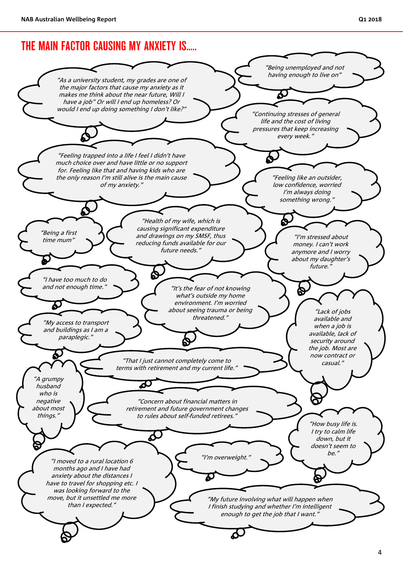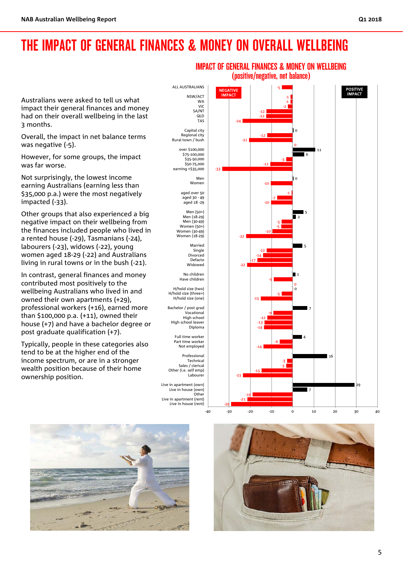## THE IMPACT OF GENERAL FINANCES & MONEY ON OVERALL WELLBEING

Australians were asked to tell us what impact their general finances and money had on their overall wellbeing in the last 3 months.

Overall, the impact in net balance terms was negative (-5).

However, for some groups, the impact was far worse.

Not surprisingly, the lowest income earning Australians (earning less than \$35,000 p.a.) were the most negatively impacted (-33).

Other groups that also experienced a big negative impact on their wellbeing from the finances included people who lived in a rented house (-29), Tasmanians (-24), labourers (-23), widows (-22), young women aged 18-29 (-22) and Australians living in rural towns or in the bush (-21).

In contrast, general finances and money contributed most positively to the wellbeing Australians who lived in and owned their own apartments (+29), professional workers (+16), earned more than \$100,000 p.a. (+11), owned their house (+7) and have a bachelor degree or post graduate qualification (+7).

Typically, people in these categories also tend to be at the higher end of the income spectrum, or are in a stronger wealth position because of their home ownership position.

-29 -21 -19 7 29 -23 -15 -3 -3 16 -14 -6 4 -14 -13 -12 -9 7 -15 -5 0 0 -9 1 -22 -17 -14 -12 5 -22 -10 -5 -5 2 5 -10 -7 -1 -10 0 -33 -11 -3 6 11 0 -21 -12 0 -24 -12 -12 -2 -1 -1 -5 -40 -30 -20 -10 0 10 20 30 40 Live in house (rent) Live in apartment (rent) Other Live in house (own) Live in apartment (own) Labourer Other (i.e. self emp) Sales / clerical Technical Professional Not employed Part time worker Full time worker Diploma High school leaver High school Vocational Bachelor / post grad H/hold size (one) H/hold size (three+) H/hold size (two) Have children No children Widowed Defacto Divorced Single Married Women (18-29) Women (30-49) Women (50+) Men (30-49) Men (18-29) Men (50+) aged 18 -29 ەر .......<br>aged 30 - 49 aged over 50 Women Men earning <\$35,000 \$50-75,000 \$35-50,000 \$75-100,000 over \$100,000 Rural town / bush Regional city Capital city TAS QLD SA/NT VIC WA NSW/ACT ALL AUSTRALIANS POSITIVE **IMPACT NEGATIVE** 





IMPACT OF GENERAL FINANCES & MONEY ON WELLBEING (positive/negative, net balance)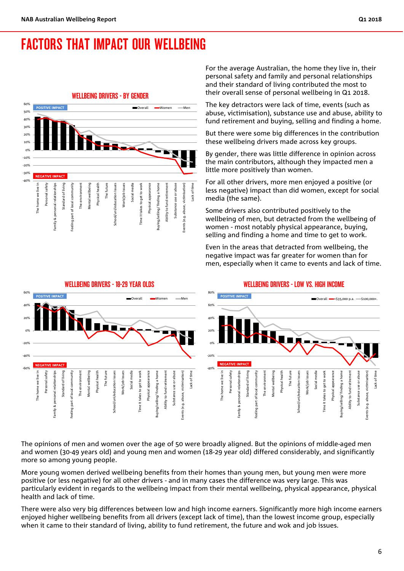## FACTORS THAT IMPACT OUR WELLBEING



For the average Australian, the home they live in, their personal safety and family and personal relationships and their standard of living contributed the most to their overall sense of personal wellbeing in Q1 2018.

The key detractors were lack of time, events (such as abuse, victimisation), substance use and abuse, ability to fund retirement and buying, selling and finding a home.

But there were some big differences in the contribution these wellbeing drivers made across key groups.

By gender, there was little difference in opinion across the main contributors, although they impacted men a little more positively than women.

For all other drivers, more men enjoyed a positive (or less negative) impact than did women, except for social media (the same).

Some drivers also contributed positively to the wellbeing of men, but detracted from the wellbeing of women - most notably physical appearance, buying, selling and finding a home and time to get to work.

Even in the areas that detracted from wellbeing, the negative impact was far greater for women than for men, especially when it came to events and lack of time.



The opinions of men and women over the age of 50 were broadly aligned. But the opinions of middle-aged men and women (30-49 years old) and young men and women (18-29 year old) differed considerably, and significantly more so among young people.

More young women derived wellbeing benefits from their homes than young men, but young men were more positive (or less negative) for all other drivers - and in many cases the difference was very large. This was particularly evident in regards to the wellbeing impact from their mental wellbeing, physical appearance, physical health and lack of time.

There were also very big differences between low and high income earners. Significantly more high income earners enjoyed higher wellbeing benefits from all drivers (except lack of time), than the lowest income group, especially when it came to their standard of living, ability to fund retirement, the future and wok and job issues.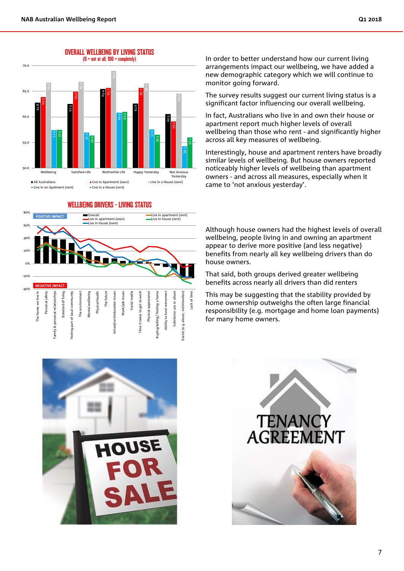

#### WELLBEING DRIVERS - LIVING STATUS



In order to better understand how our current living arrangements impact our wellbeing, we have added a new demographic category which we will continue to monitor going forward.

The survey results suggest our current living status is a significant factor influencing our overall wellbeing.

In fact, Australians who live in and own their house or apartment report much higher levels of overall wellbeing than those who rent - and significantly higher across all key measures of wellbeing.

Interestingly, house and apartment renters have broadly similar levels of wellbeing. But house owners reported noticeably higher levels of wellbeing than apartment owners - and across all measures, especially when it came to 'not anxious yesterday'.

Although house owners had the highest levels of overall wellbeing, people living in and owning an apartment appear to derive more positive (and less negative) benefits from nearly all key wellbeing drivers than do house owners.

That said, both groups derived greater wellbeing benefits across nearly all drivers than did renters

This may be suggesting that the stability provided by home ownership outweighs the often large financial responsibility (e.g. mortgage and home loan payments) for many home owners.